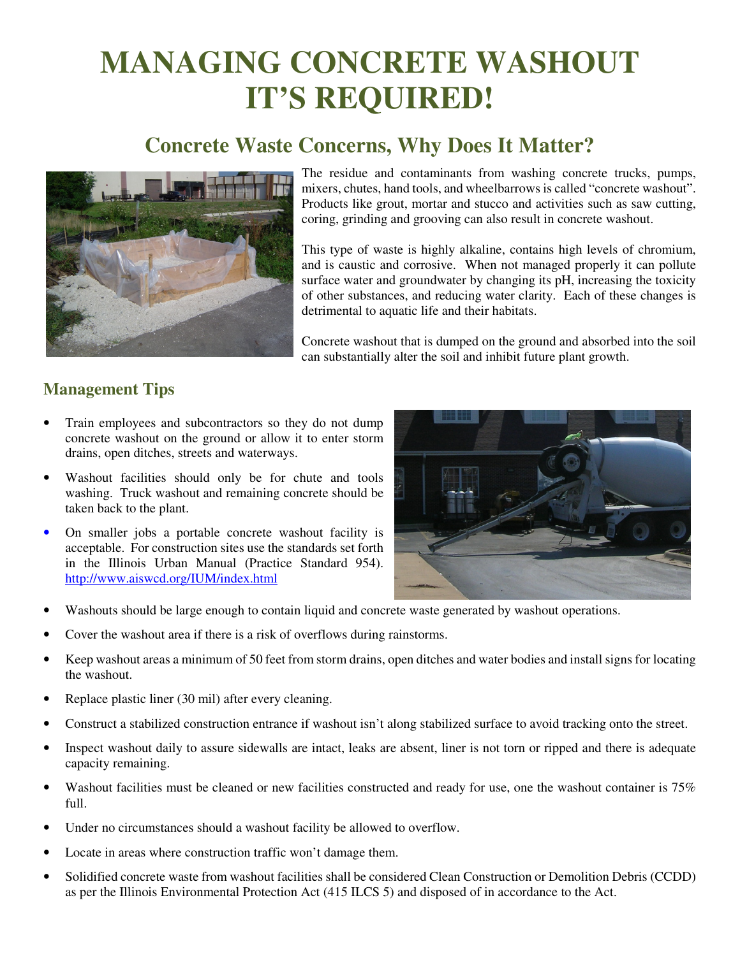# **MANAGING CONCRETE WASHOUT IT'S REQUIRED!**

## **Concrete Waste Concerns, Why Does It Matter?**



The residue and contaminants from washing concrete trucks, pumps, mixers, chutes, hand tools, and wheelbarrows is called "concrete washout". Products like grout, mortar and stucco and activities such as saw cutting, coring, grinding and grooving can also result in concrete washout.

This type of waste is highly alkaline, contains high levels of chromium, and is caustic and corrosive. When not managed properly it can pollute surface water and groundwater by changing its pH, increasing the toxicity of other substances, and reducing water clarity. Each of these changes is detrimental to aquatic life and their habitats.

Concrete washout that is dumped on the ground and absorbed into the soil can substantially alter the soil and inhibit future plant growth.

#### **Management Tips**

- Train employees and subcontractors so they do not dump concrete washout on the ground or allow it to enter storm drains, open ditches, streets and waterways.
- Washout facilities should only be for chute and tools washing. Truck washout and remaining concrete should be taken back to the plant.
- On smaller jobs a portable concrete washout facility is acceptable. For construction sites use the standards set forth in the Illinois Urban Manual (Practice Standard 954). http://www.aiswcd.org/IUM/index.html



- Washouts should be large enough to contain liquid and concrete waste generated by washout operations.
- Cover the washout area if there is a risk of overflows during rainstorms.
- Keep washout areas a minimum of 50 feet from storm drains, open ditches and water bodies and install signs for locating the washout.
- Replace plastic liner (30 mil) after every cleaning.
- Construct a stabilized construction entrance if washout isn't along stabilized surface to avoid tracking onto the street.
- Inspect washout daily to assure sidewalls are intact, leaks are absent, liner is not torn or ripped and there is adequate capacity remaining.
- Washout facilities must be cleaned or new facilities constructed and ready for use, one the washout container is 75% full.
- Under no circumstances should a washout facility be allowed to overflow.
- Locate in areas where construction traffic won't damage them.
- Solidified concrete waste from washout facilities shall be considered Clean Construction or Demolition Debris (CCDD) as per the Illinois Environmental Protection Act (415 ILCS 5) and disposed of in accordance to the Act.